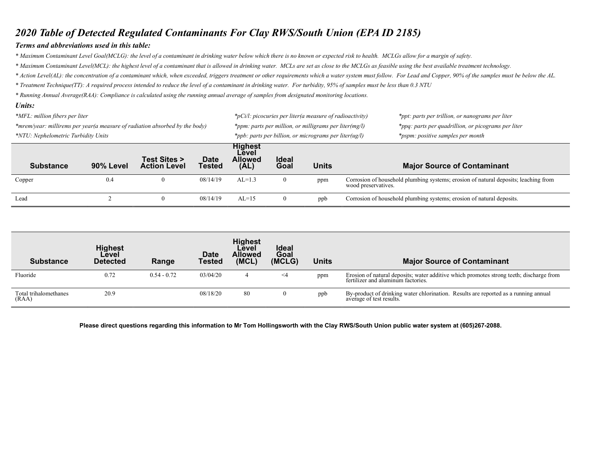## 2020 Table of Detected Regulated Contaminants For Clay RWS/South Union (EPA ID 2185)

## Terms and abbreviations used in this table:

\* Maximum Contaminant Level Goal(MCLG): the level of a contaminant in drinking water below which there is no known or expected risk to health. MCLGs allow for a margin of safety.

\* Maximum Contaminant Level(MCL): the highest level of a contaminant that is allowed in drinking water. MCLs are set as close to the MCLGs as feasible using the best available treatment technology.

\* Action Level(AL): the concentration of a contaminant which, when exceeded, triggers treatment or other requirements which a water system must follow. For Lead and Copper, 90% of the samples must be below the AL.

\* Treatment Technique(TT): A required process intended to reduce the level of a contaminant in drinking water. For turbidity, 95% of samples must be less than 0.3 NTU

\* Running Annual Average(RAA): Compliance is calculated using the running annual average of samples from designated monitoring locations.

#### Units: \*MFL: million fibers per liter the service of radioactivity in the service of radioactivity in the service of radioactivity in the service of radioactivity in the servillion, or nanograms per liter the service of radioacti \*mrem/year: millirems per year(a measure of radiation absorbed by the body) \*ppm: parts per million, or milligrams per liter(mg/l) \*ppq: parts per quadrillion, or picograms per liter \*NTU: Nephelometric Turbidity Units  $\frac{1}{2}$  where  $\frac{1}{2}$  is the parts per billion, or micrograms per liter(ug/l)  $\frac{1}{2}$  \*pspm: positive samples per month Substance 90% Level Test Sites > Action Level **Date** Tested **Highest** Level Allowed (AL) Ideal<br>Goal Units Major Source of Contaminant Copper 0.4 0 08/14/19 AL=1.3 0 ppm Corrosion of household plumbing systems; erosion of natural deposits; leaching from wood preservatives. Lead 2 0 08/14/19 AL=15 0 ppb Corrosion of household plumbing systems; erosion of natural deposits.

| <b>Substance</b>               | <b>Highest</b><br>Level<br><b>Detected</b> | Range         | Date<br><b>Tested</b> | <b>Highest</b><br>Level<br><b>Allowed</b><br>(MCL) | <b>Ideal</b><br>Goal<br>(MCLG) | Units | <b>Major Source of Contaminant</b>                                                                                            |
|--------------------------------|--------------------------------------------|---------------|-----------------------|----------------------------------------------------|--------------------------------|-------|-------------------------------------------------------------------------------------------------------------------------------|
| Fluoride                       | 0.72                                       | $0.54 - 0.72$ | 03/04/20              |                                                    | $\leq$ 4                       | ppm   | Erosion of natural deposits; water additive which promotes strong teeth; discharge from<br>fertilizer and aluminum factories. |
| Total trihalomethanes<br>(RAA) | 20.9                                       |               | 08/18/20              | 80                                                 |                                | ppb   | By-product of drinking water chlorination. Results are reported as a running annual<br>average of test results.               |

Please direct questions regarding this information to Mr Tom Hollingsworth with the Clay RWS/South Union public water system at (605)267-2088.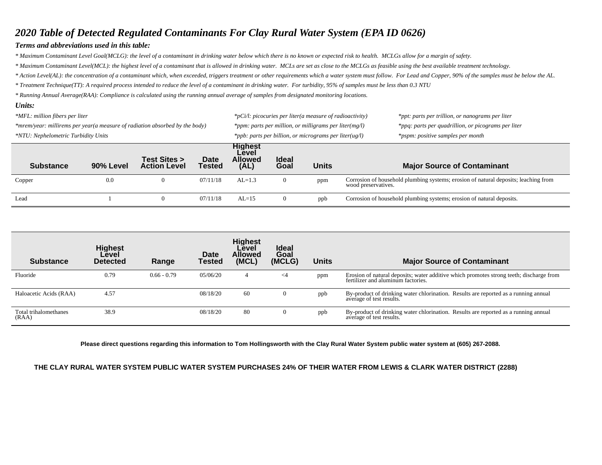## *2020 Table of Detected Regulated Contaminants For Clay Rural Water System (EPA ID 0626)*

## *Terms and abbreviations used in this table:*

*\* Maximum Contaminant Level Goal(MCLG): the level of a contaminant in drinking water below which there is no known or expected risk to health. MCLGs allow for a margin of safety.*

*\* Maximum Contaminant Level(MCL): the highest level of a contaminant that is allowed in drinking water. MCLs are set as close to the MCLGs as feasible using the best available treatment technology.*

*\* Action Level(AL): the concentration of a contaminant which, when exceeded, triggers treatment or other requirements which a water system must follow. For Lead and Copper, 90% of the samples must be below the AL.*

*\* Treatment Technique(TT): A required process intended to reduce the level of a contaminant in drinking water. For turbidity, 95% of samples must be less than 0.3 NTU*

*\* Running Annual Average(RAA): Compliance is calculated using the running annual average of samples from designated monitoring locations.* 

#### *Units: \*MFL: million fibers per liter \*pCi/l: picocuries per liter(a measure of radioactivity) \*ppt: parts per trillion, or nanograms per liter \*mrem/year: millirems per year(a measure of radiation absorbed by the body) \*ppm: parts per million, or milligrams per liter(mg/l) \*ppq: parts per quadrillion, or picograms per liter \*NTU: Nephelometric Turbidity Units \*ppb: parts per billion, or micrograms per liter(ug/l) \*pspm: positive samples per month* **Substance 90% Level Test Sites > Action Level Date Tested Highest Level Allowed (AL) Ideal Goal Units Major Source of Contaminant** Copper 0.0 0 07/11/18 AL=1.3 0 ppm Corrosion of household plumbing systems; erosion of natural deposits; leaching from wood preservatives. Lead 1 0 07/11/18 AL=15 0 ppb Corrosion of household plumbing systems; erosion of natural deposits.

| <b>Substance</b>               | <b>Highest</b><br>Level<br><b>Detected</b> | Range         | Date<br>Tested | <b>Highest</b><br>Level<br><b>Allowed</b><br>(MCL) | <b>Ideal</b><br>Goal<br>(MCLG) | <b>Units</b> | <b>Major Source of Contaminant</b>                                                                                            |
|--------------------------------|--------------------------------------------|---------------|----------------|----------------------------------------------------|--------------------------------|--------------|-------------------------------------------------------------------------------------------------------------------------------|
| Fluoride                       | 0.79                                       | $0.66 - 0.79$ | 05/06/20       | 4                                                  | $\leq$ 4                       | ppm          | Erosion of natural deposits; water additive which promotes strong teeth; discharge from<br>fertilizer and aluminum factories. |
| Haloacetic Acids (RAA)         | 4.57                                       |               | 08/18/20       | 60                                                 | 0                              | ppb          | By-product of drinking water chlorination. Results are reported as a running annual<br>average of test results.               |
| Total trihalomethanes<br>(RAA) | 38.9                                       |               | 08/18/20       | 80                                                 | v                              | ppb          | By-product of drinking water chlorination. Results are reported as a running annual<br>average of test results.               |

**Please direct questions regarding this information to Tom Hollingsworth with the Clay Rural Water System public water system at (605) 267-2088.** 

### **THE CLAY RURAL WATER SYSTEM PUBLIC WATER SYSTEM PURCHASES 24% OF THEIR WATER FROM LEWIS & CLARK WATER DISTRICT (2288)**